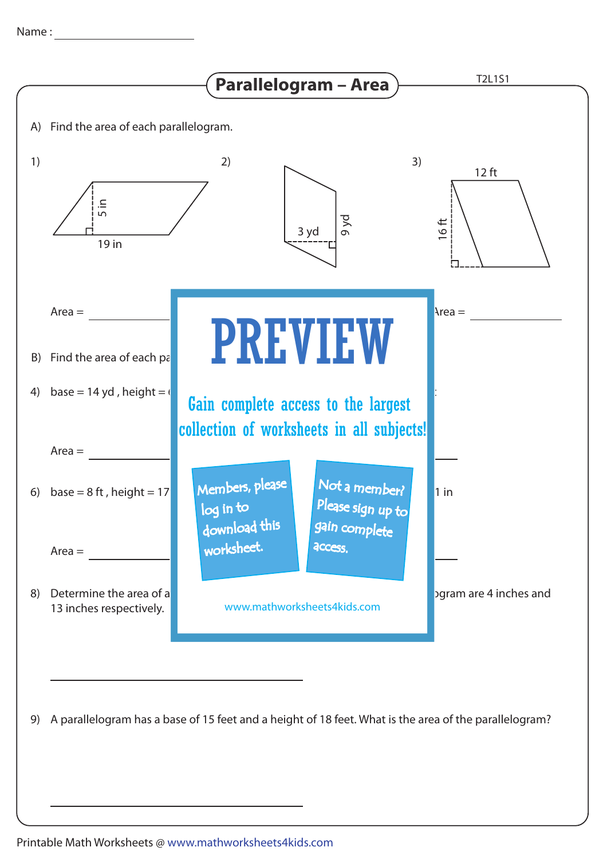